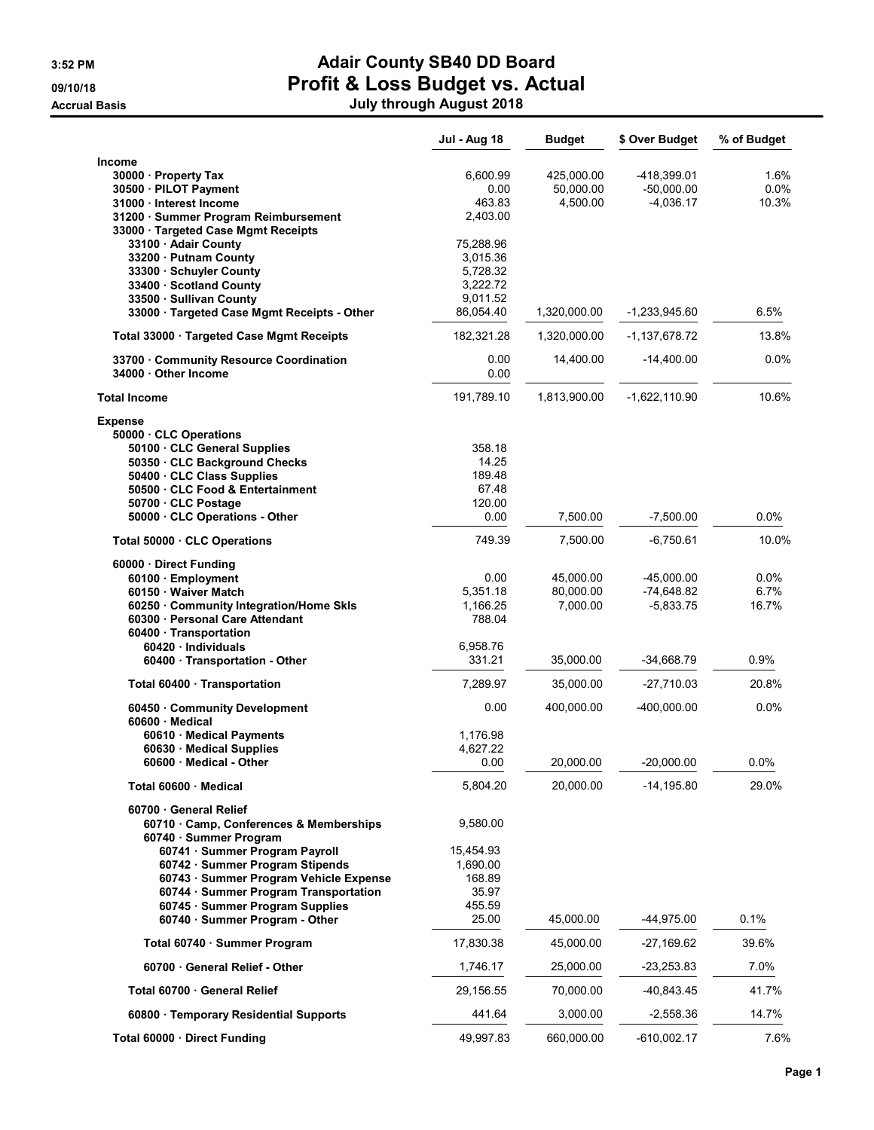#### **Accrual Basis**

# 3:52 PM **Adair County SB40 DD Board** 09/10/18 **Profit & Loss Budget vs. Actual**

|  | July through August 2018 |
|--|--------------------------|
|--|--------------------------|

|                                                                        | Jul - Aug 18          | <b>Budget</b> | \$ Over Budget  | % of Budget |
|------------------------------------------------------------------------|-----------------------|---------------|-----------------|-------------|
| Income                                                                 |                       |               |                 |             |
| 30000 Property Tax                                                     | 6,600.99              | 425,000.00    | -418.399.01     | 1.6%        |
| 30500 · PILOT Payment                                                  | 0.00                  | 50,000.00     | $-50,000.00$    | $0.0\%$     |
| 31000 · Interest Income                                                | 463.83                | 4,500.00      | $-4,036.17$     | 10.3%       |
| 31200 · Summer Program Reimbursement                                   | 2,403.00              |               |                 |             |
| 33000 · Targeted Case Mgmt Receipts                                    |                       |               |                 |             |
| 33100 · Adair County                                                   | 75,288.96             |               |                 |             |
| 33200 · Putnam County                                                  | 3,015.36              |               |                 |             |
| 33300 · Schuyler County                                                | 5,728.32              |               |                 |             |
| 33400 Scotland County                                                  | 3,222.72              |               |                 |             |
| 33500 · Sullivan County<br>33000 · Targeted Case Mgmt Receipts - Other | 9,011.52<br>86,054.40 | 1,320,000.00  | -1,233,945.60   | 6.5%        |
|                                                                        | 182,321.28            |               |                 |             |
| Total 33000 · Targeted Case Mgmt Receipts                              |                       | 1,320,000.00  | -1,137,678.72   | 13.8%       |
| 33700 Community Resource Coordination<br>34000 · Other Income          | 0.00<br>0.00          | 14,400.00     | $-14,400.00$    | $0.0\%$     |
| <b>Total Income</b>                                                    | 191,789.10            | 1,813,900.00  | $-1,622,110.90$ | 10.6%       |
| <b>Expense</b>                                                         |                       |               |                 |             |
| 50000 CLC Operations                                                   |                       |               |                 |             |
| 50100 · CLC General Supplies                                           | 358.18                |               |                 |             |
| 50350 · CLC Background Checks                                          | 14.25                 |               |                 |             |
| 50400 · CLC Class Supplies                                             | 189.48                |               |                 |             |
| 50500 CLC Food & Entertainment<br>50700 CLC Postage                    | 67.48<br>120.00       |               |                 |             |
| 50000 · CLC Operations - Other                                         | 0.00                  | 7,500.00      | $-7,500.00$     | 0.0%        |
|                                                                        |                       |               |                 |             |
| Total 50000 CLC Operations                                             | 749.39                | 7,500.00      | $-6,750.61$     | 10.0%       |
| 60000 · Direct Funding                                                 |                       |               |                 |             |
| 60100 · Employment                                                     | 0.00                  | 45,000.00     | $-45,000.00$    | $0.0\%$     |
| 60150 Waiver Match                                                     | 5,351.18              | 80,000.00     | $-74,648.82$    | 6.7%        |
| 60250 Community Integration/Home Skls                                  | 1,166.25              | 7,000.00      | $-5,833.75$     | 16.7%       |
| 60300 · Personal Care Attendant                                        | 788.04                |               |                 |             |
| 60400 Transportation<br>60420 · Individuals                            | 6,958.76              |               |                 |             |
| 60400 · Transportation - Other                                         | 331.21                | 35,000.00     | $-34,668.79$    | 0.9%        |
|                                                                        |                       |               |                 |             |
| Total 60400 · Transportation                                           | 7,289.97              | 35,000.00     | $-27,710.03$    | 20.8%       |
| 60450 Community Development<br>60600 Medical                           | 0.00                  | 400,000.00    | -400,000.00     | 0.0%        |
| 60610 · Medical Payments                                               | 1,176.98              |               |                 |             |
| 60630 · Medical Supplies                                               | 4,627.22              |               |                 |             |
| 60600 Medical - Other                                                  | 0.00                  | 20,000.00     | $-20,000.00$    | 0.0%        |
| Total 60600 · Medical                                                  | 5,804.20              | 20,000.00     | $-14, 195.80$   | 29.0%       |
|                                                                        |                       |               |                 |             |
| 60700 General Relief<br>60710 Camp, Conferences & Memberships          | 9,580.00              |               |                 |             |
| 60740 · Summer Program                                                 |                       |               |                 |             |
| 60741 · Summer Program Payroll<br>60742 · Summer Program Stipends      | 15,454.93<br>1,690.00 |               |                 |             |
| 60743 · Summer Program Vehicle Expense                                 | 168.89                |               |                 |             |
| 60744 · Summer Program Transportation                                  | 35.97                 |               |                 |             |
| 60745 · Summer Program Supplies                                        | 455.59                |               |                 |             |
| 60740 · Summer Program - Other                                         | 25.00                 | 45,000.00     | -44,975.00      | 0.1%        |
| Total 60740 · Summer Program                                           | 17,830.38             | 45,000.00     | $-27,169.62$    | 39.6%       |
| 60700 General Relief - Other                                           | 1,746.17              | 25,000.00     | -23,253.83      | 7.0%        |
| Total 60700 · General Relief                                           | 29,156.55             | 70,000.00     | -40,843.45      | 41.7%       |
| 60800 · Temporary Residential Supports                                 | 441.64                | 3,000.00      | $-2,558.36$     | 14.7%       |
| Total 60000 · Direct Funding                                           | 49,997.83             | 660,000.00    | $-610,002.17$   | 7.6%        |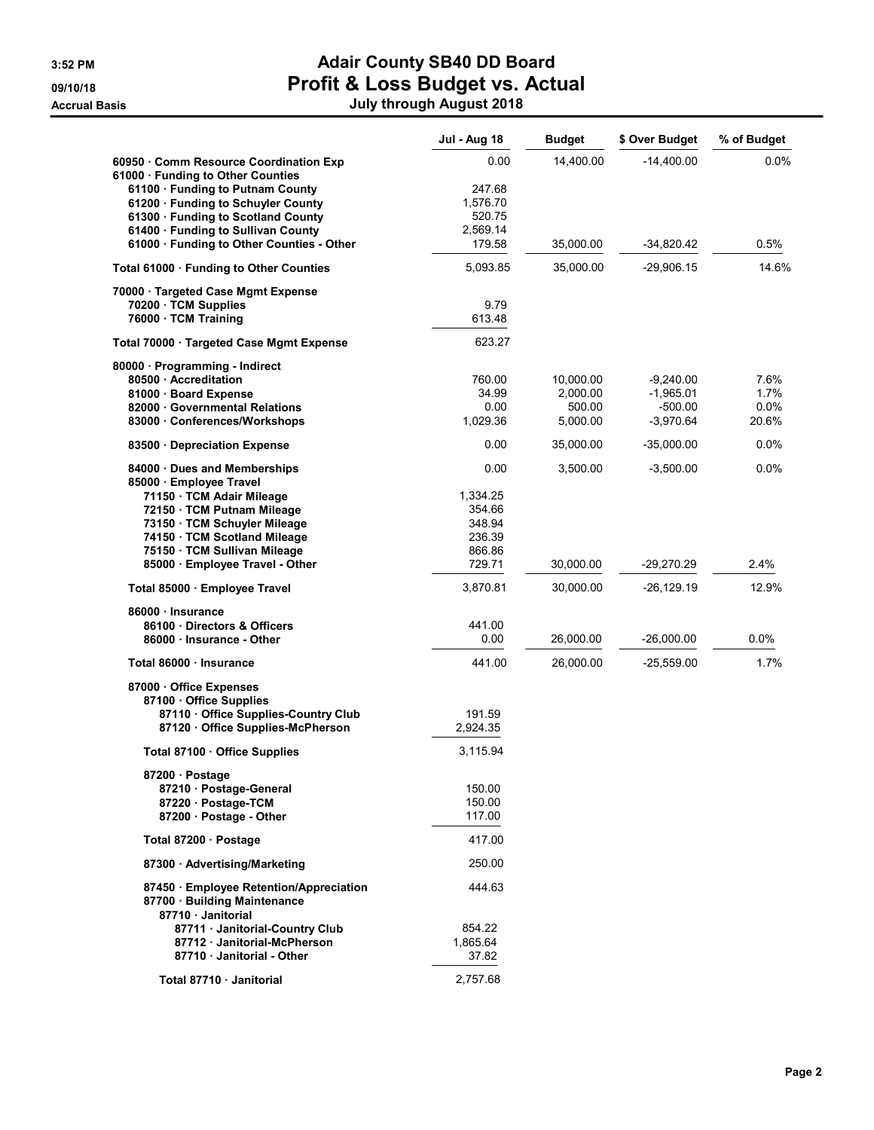# 3:52 PM **Adair County SB40 DD Board** 09/10/18 **Profit & Loss Budget vs. Actual**

| July through August 2018 |  |
|--------------------------|--|

|                                                  | <b>Jul - Aug 18</b> | <b>Budget</b> | \$ Over Budget | % of Budget |
|--------------------------------------------------|---------------------|---------------|----------------|-------------|
| 60950 Comm Resource Coordination Exp             | 0.00                | 14,400.00     | $-14,400.00$   | 0.0%        |
| 61000 · Funding to Other Counties                |                     |               |                |             |
| 61100 · Funding to Putnam County                 | 247.68              |               |                |             |
| 61200 · Funding to Schuyler County               | 1,576.70            |               |                |             |
| 61300 · Funding to Scotland County               | 520.75              |               |                |             |
| 61400 · Funding to Sullivan County               | 2,569.14            |               |                |             |
| 61000 · Funding to Other Counties - Other        | 179.58              | 35,000.00     | $-34,820.42$   | 0.5%        |
| Total 61000 · Funding to Other Counties          | 5,093.85            | 35,000.00     | $-29,906.15$   | 14.6%       |
| 70000 · Targeted Case Mgmt Expense               |                     |               |                |             |
| 70200 · TCM Supplies                             | 9.79                |               |                |             |
| 76000 · TCM Training                             | 613.48              |               |                |             |
| Total 70000 · Targeted Case Mgmt Expense         | 623.27              |               |                |             |
| 80000 · Programming - Indirect                   |                     |               |                |             |
| 80500 Accreditation                              | 760.00              | 10,000.00     | $-9,240.00$    | 7.6%        |
| 81000 · Board Expense                            | 34.99               | 2,000.00      | $-1,965.01$    | 1.7%        |
| 82000 Governmental Relations                     | 0.00                | 500.00        | $-500.00$      | 0.0%        |
| 83000 Conferences/Workshops                      | 1,029.36            | 5,000.00      | $-3,970.64$    | 20.6%       |
| 83500 Depreciation Expense                       | 0.00                | 35,000.00     | $-35.000.00$   | $0.0\%$     |
| 84000 · Dues and Memberships                     | 0.00                | 3,500.00      | $-3,500.00$    | $0.0\%$     |
| 85000 · Employee Travel                          |                     |               |                |             |
| 71150 · TCM Adair Mileage                        | 1,334.25            |               |                |             |
| 72150 · TCM Putnam Mileage                       | 354.66              |               |                |             |
| 73150 · TCM Schuyler Mileage                     | 348.94              |               |                |             |
| 74150 · TCM Scotland Mileage                     | 236.39              |               |                |             |
| 75150 · TCM Sullivan Mileage                     | 866.86              |               |                |             |
| 85000 · Employee Travel - Other                  | 729.71              | 30,000.00     | $-29,270.29$   | 2.4%        |
| Total 85000 · Employee Travel                    | 3,870.81            | 30,000.00     | $-26, 129.19$  | 12.9%       |
| 86000 · Insurance                                |                     |               |                |             |
| 86100 Directors & Officers                       | 441.00              |               |                |             |
| 86000 Insurance - Other                          | 0.00                | 26,000.00     | $-26,000.00$   | 0.0%        |
| Total 86000 · Insurance                          | 441.00              | 26,000.00     | $-25,559.00$   | 1.7%        |
| 87000 Office Expenses                            |                     |               |                |             |
| 87100 Office Supplies                            |                     |               |                |             |
| 87110 Office Supplies-Country Club               | 191.59              |               |                |             |
| 87120 Office Supplies-McPherson                  | 2,924.35            |               |                |             |
| Total 87100 Office Supplies                      | 3,115.94            |               |                |             |
| 87200 · Postage                                  |                     |               |                |             |
| 87210 · Postage-General                          | 150.00              |               |                |             |
| 87220 · Postage-TCM                              | 150.00              |               |                |             |
| 87200 Postage - Other                            | 117.00              |               |                |             |
| Total 87200 · Postage                            | 417.00              |               |                |             |
| 87300 - Advertising/Marketing                    | 250.00              |               |                |             |
| 87450 Employee Retention/Appreciation            | 444.63              |               |                |             |
| 87700 · Building Maintenance<br>87710 Janitorial |                     |               |                |             |
| 87711 Janitorial-Country Club                    | 854.22              |               |                |             |
| 87712 Janitorial-McPherson                       | 1,865.64            |               |                |             |
| 87710 Janitorial - Other                         | 37.82               |               |                |             |
|                                                  |                     |               |                |             |
| Total 87710 · Janitorial                         | 2,757.68            |               |                |             |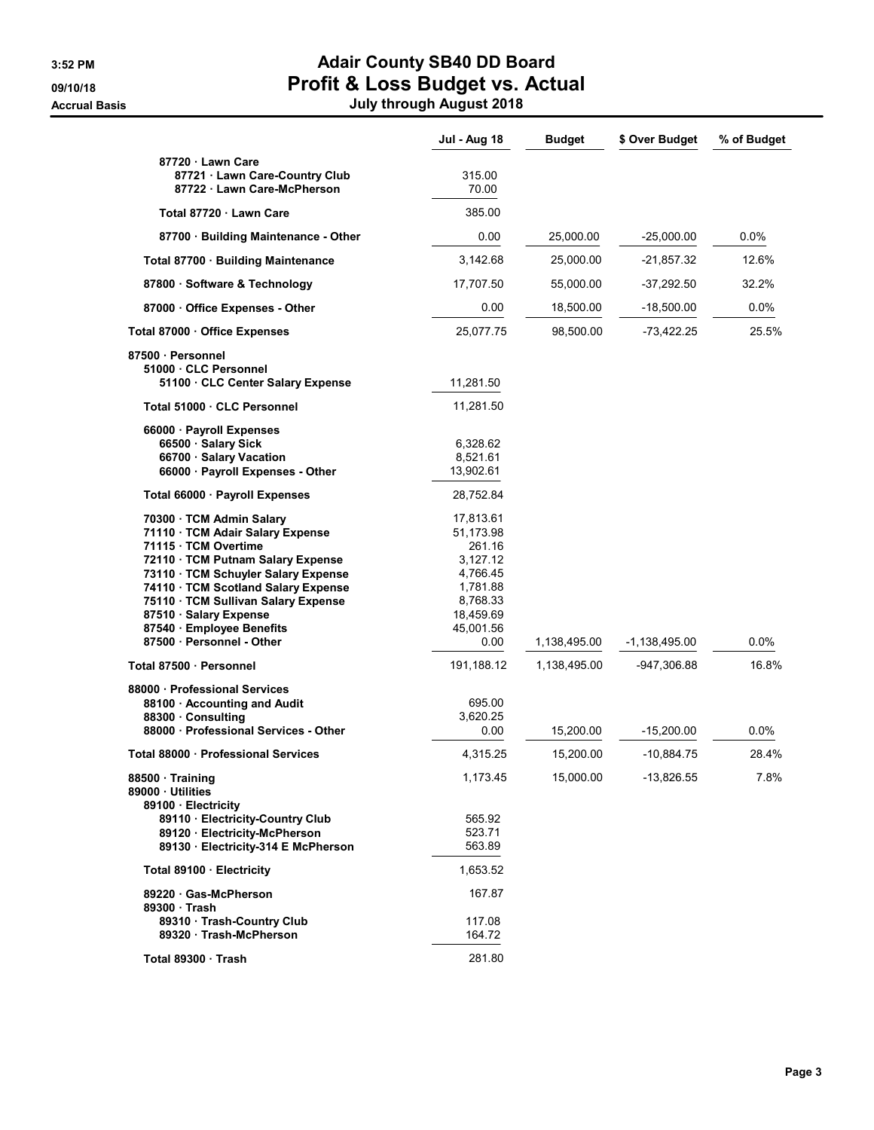#### 3:52 PM **Adair County SB40 DD Board** 09/10/18 **Profit & Loss Budget vs. Actual** Accrual Basis July through August 2018

|                                                                                                                                                                                                                                                                                                   | <b>Jul - Aug 18</b>                                                                                        | <b>Budget</b>                | \$ Over Budget               | % of Budget      |
|---------------------------------------------------------------------------------------------------------------------------------------------------------------------------------------------------------------------------------------------------------------------------------------------------|------------------------------------------------------------------------------------------------------------|------------------------------|------------------------------|------------------|
| 87720 · Lawn Care<br>87721 · Lawn Care-Country Club<br>87722 · Lawn Care-McPherson                                                                                                                                                                                                                | 315.00<br>70.00                                                                                            |                              |                              |                  |
| Total 87720 · Lawn Care                                                                                                                                                                                                                                                                           | 385.00                                                                                                     |                              |                              |                  |
| 87700 · Building Maintenance - Other                                                                                                                                                                                                                                                              | 0.00                                                                                                       | 25,000.00                    | $-25,000.00$                 | 0.0%             |
| Total 87700 · Building Maintenance                                                                                                                                                                                                                                                                | 3,142.68                                                                                                   | 25,000.00                    | -21,857.32                   | 12.6%            |
| 87800 Software & Technology                                                                                                                                                                                                                                                                       | 17,707.50                                                                                                  | 55,000.00                    | $-37,292.50$                 | 32.2%            |
| 87000 Office Expenses - Other                                                                                                                                                                                                                                                                     | 0.00                                                                                                       | 18,500.00                    | $-18,500.00$                 | $0.0\%$          |
| Total 87000 · Office Expenses                                                                                                                                                                                                                                                                     | 25,077.75                                                                                                  | 98,500.00                    | $-73,422.25$                 | 25.5%            |
| 87500 · Personnel<br>51000 CLC Personnel<br>51100 CLC Center Salary Expense                                                                                                                                                                                                                       | 11,281.50                                                                                                  |                              |                              |                  |
| Total 51000 · CLC Personnel                                                                                                                                                                                                                                                                       | 11,281.50                                                                                                  |                              |                              |                  |
| 66000 · Payroll Expenses<br>66500 · Salary Sick<br>66700 · Salary Vacation<br>66000 · Payroll Expenses - Other                                                                                                                                                                                    | 6,328.62<br>8,521.61<br>13,902.61                                                                          |                              |                              |                  |
| Total 66000 · Payroll Expenses                                                                                                                                                                                                                                                                    | 28,752.84                                                                                                  |                              |                              |                  |
| 70300 · TCM Admin Salary<br>71110 · TCM Adair Salary Expense<br>71115 · TCM Overtime<br>72110 TCM Putnam Salary Expense<br>73110 · TCM Schuyler Salary Expense<br>74110 · TCM Scotland Salary Expense<br>75110 · TCM Sullivan Salary Expense<br>87510 Salary Expense<br>87540 · Employee Benefits | 17,813.61<br>51,173.98<br>261.16<br>3,127.12<br>4,766.45<br>1,781.88<br>8,768.33<br>18,459.69<br>45,001.56 |                              |                              |                  |
| 87500 · Personnel - Other<br>Total 87500 · Personnel                                                                                                                                                                                                                                              | 0.00<br>191,188.12                                                                                         | 1,138,495.00<br>1,138,495.00 | -1,138,495.00<br>-947,306.88 | $0.0\%$<br>16.8% |
| 88000 Professional Services<br>88100 · Accounting and Audit<br>88300 Consulting<br>88000 Professional Services - Other                                                                                                                                                                            | 695.00<br>3,620.25<br>0.00                                                                                 | 15,200.00                    | $-15,200.00$                 | 0.0%             |
| Total 88000 · Professional Services                                                                                                                                                                                                                                                               | 4,315.25                                                                                                   | 15,200.00                    | -10,884.75                   | 28.4%            |
| 88500 · Training<br>89000 Utilities<br>89100 Electricity                                                                                                                                                                                                                                          | 1,173.45                                                                                                   | 15,000.00                    | -13,826.55                   | 7.8%             |
| 89110 · Electricity-Country Club<br>89120 · Electricity-McPherson<br>89130 Electricity-314 E McPherson                                                                                                                                                                                            | 565.92<br>523.71<br>563.89                                                                                 |                              |                              |                  |
| Total 89100 · Electricity                                                                                                                                                                                                                                                                         | 1,653.52                                                                                                   |                              |                              |                  |
| 89220 Gas-McPherson<br>89300 Trash<br>89310 · Trash-Country Club                                                                                                                                                                                                                                  | 167.87<br>117.08                                                                                           |                              |                              |                  |
| 89320 Trash-McPherson<br>Total 89300 Trash                                                                                                                                                                                                                                                        | 164.72<br>281.80                                                                                           |                              |                              |                  |